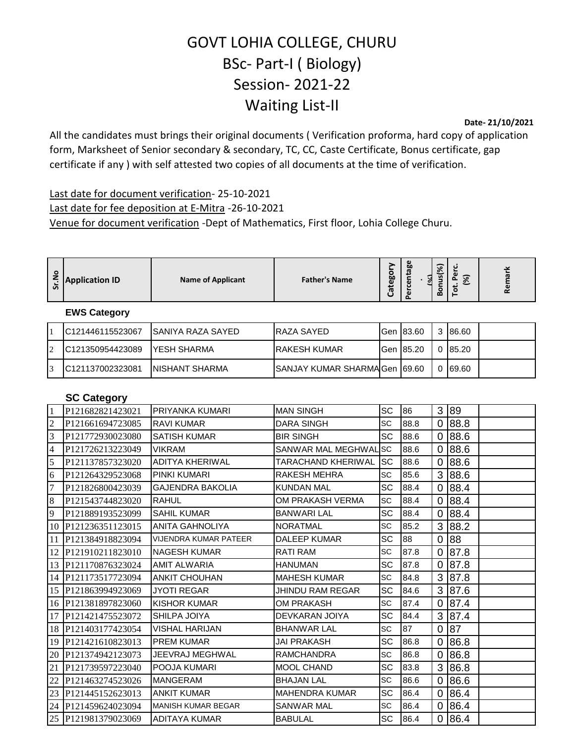## GOVT LOHIA COLLEGE, CHURU BSc- Part-I ( Biology) Session- 2021-22 Waiting List-II

**Date- 21/10/2021**

All the candidates must brings their original documents ( Verification proforma, hard copy of application form, Marksheet of Senior secondary & secondary, TC, CC, Caste Certificate, Bonus certificate, gap certificate if any ) with self attested two copies of all documents at the time of verification.

Last date for document verification- 25-10-2021 Last date for fee deposition at E-Mitra -26-10-2021 Venue for document verification -Dept of Mathematics, First floor, Lohia College Churu.

| z<br>ທ | <b>Application ID</b> | <b>Name of Applicant</b> | <b>Father's Name</b> | ego<br>් | Φ<br>60<br>൹<br>្ត្<br>ō<br>$\mathbf{a}$ | ె<br>$\sim$<br>Ω<br>ъ.<br>o<br>≃ | $\overline{\phantom{0}}$<br>۰o<br>ల | $\checkmark$<br>ᡕᢐ<br>$\mathbf \omega$<br>≃ |
|--------|-----------------------|--------------------------|----------------------|----------|------------------------------------------|----------------------------------|-------------------------------------|---------------------------------------------|

## **EWS Category**

|                | IC121446115523067 | ISANIYA RAZA SAYED | <b>IRAZA SAYED</b>              |                    | 3 86.60  |  |
|----------------|-------------------|--------------------|---------------------------------|--------------------|----------|--|
| $\overline{2}$ | IC121350954423089 | IYESH SHARMA       | IRAKESH KUMAR                   | <b>IGen 185.20</b> | 0 85.20  |  |
| $\overline{3}$ | IC121137002323081 | INISHANT SHARMA    | ISANJAY KUMAR SHARMAIGen I69.60 |                    | 0 169.60 |  |

## **SC Category**

| $\mathbf{1}$ | P121682821423021             | <b>IPRIYANKA KUMARI</b>      | <b>MAN SINGH</b>      | <b>SC</b>  | 86   | 3              | 89   |
|--------------|------------------------------|------------------------------|-----------------------|------------|------|----------------|------|
| 2            | P121661694723085             | <b>RAVI KUMAR</b>            | <b>DARA SINGH</b>     | <b>SC</b>  | 88.8 | 0              | 88.8 |
| 3            | P <sub>121772930023080</sub> | <b>SATISH KUMAR</b>          | <b>BIR SINGH</b>      | <b>SC</b>  | 88.6 | 0              | 88.6 |
| 4            | P121726213223049             | <b>VIKRAM</b>                | SANWAR MAL MEGHWALSC  |            | 88.6 | 0              | 88.6 |
| 5            | P121137857323020             | ADITYA KHERIWAL              | TARACHAND KHERIWAL    | <b>ISC</b> | 88.6 | 0              | 88.6 |
| 6            | P121264329523068             | <b>PINKI KUMARI</b>          | RAKESH MEHRA          | SC         | 85.6 | 3              | 88.6 |
| 7            | P121826800423039             | <b>GAJENDRA BAKOLIA</b>      | <b>KUNDAN MAL</b>     | <b>SC</b>  | 88.4 | 0              | 88.4 |
| 8            | P121543744823020             | <b>RAHUL</b>                 | OM PRAKASH VERMA      | SC         | 88.4 | 0              | 88.4 |
| 9            | P <sub>121889193523099</sub> | <b>SAHIL KUMAR</b>           | <b>BANWARI LAL</b>    | <b>SC</b>  | 88.4 | 0              | 88.4 |
|              | 10 P121236351123015          | <b>ANITA GAHNOLIYA</b>       | <b>NORATMAL</b>       | <b>SC</b>  | 85.2 | 3              | 88.2 |
|              | 11 P121384918823094          | <b>VIJENDRA KUMAR PATEER</b> | <b>DALEEP KUMAR</b>   | SC         | 88   | 0              | 88   |
|              | 12 P121910211823010          | <b>NAGESH KUMAR</b>          | RATI RAM              | <b>SC</b>  | 87.8 | $\overline{0}$ | 87.8 |
|              | 13 P121170876323024          | <b>AMIT ALWARIA</b>          | <b>HANUMAN</b>        | <b>SC</b>  | 87.8 | 0              | 87.8 |
|              | 14 P121173517723094          | <b>ANKIT CHOUHAN</b>         | <b>MAHESH KUMAR</b>   | <b>SC</b>  | 84.8 | 3              | 87.8 |
|              | 15 P121863994923069          | <b>JYOTI REGAR</b>           | JHINDU RAM REGAR      | <b>SC</b>  | 84.6 | 3              | 87.6 |
|              | 16 P121381897823060          | KISHOR KUMAR                 | OM PRAKASH            | <b>SC</b>  | 87.4 | 0              | 87.4 |
|              | 17 P121421475523072          | <b>SHILPA JOIYA</b>          | DEVKARAN JOIYA        | <b>SC</b>  | 84.4 | 3              | 87.4 |
|              | 18 P121403177423054          | <b>VISHAL HARIJAN</b>        | <b>BHANWAR LAL</b>    | <b>SC</b>  | 87   | 0              | 87   |
|              | 19 P121421610823013          | <b>PREM KUMAR</b>            | <b>JAI PRAKASH</b>    | <b>SC</b>  | 86.8 | 0              | 86.8 |
|              | 20 P121374942123073          | JEEVRAJ MEGHWAL              | <b>RAMCHANDRA</b>     | SC         | 86.8 | 0              | 86.8 |
|              | 21 P121739597223040          | <b>POOJA KUMARI</b>          | <b>MOOL CHAND</b>     | <b>SC</b>  | 83.8 | 3              | 86.8 |
| 22           | P <sub>121463274523026</sub> | <b>IMANGERAM</b>             | <b>BHAJAN LAL</b>     | <b>SC</b>  | 86.6 | 0              | 86.6 |
|              | 23 P121445152623013          | <b>ANKIT KUMAR</b>           | <b>MAHENDRA KUMAR</b> | <b>SC</b>  | 86.4 | 0              | 86.4 |
|              | 24 P121459624023094          | <b>I</b> MANISH KUMAR BEGAR  | SANWAR MAL            | <b>SC</b>  | 86.4 | 0              | 86.4 |
|              | 25 P121981379023069          | <b>ADITAYA KUMAR</b>         | <b>BABULAL</b>        | SC         | 86.4 | 0              | 86.4 |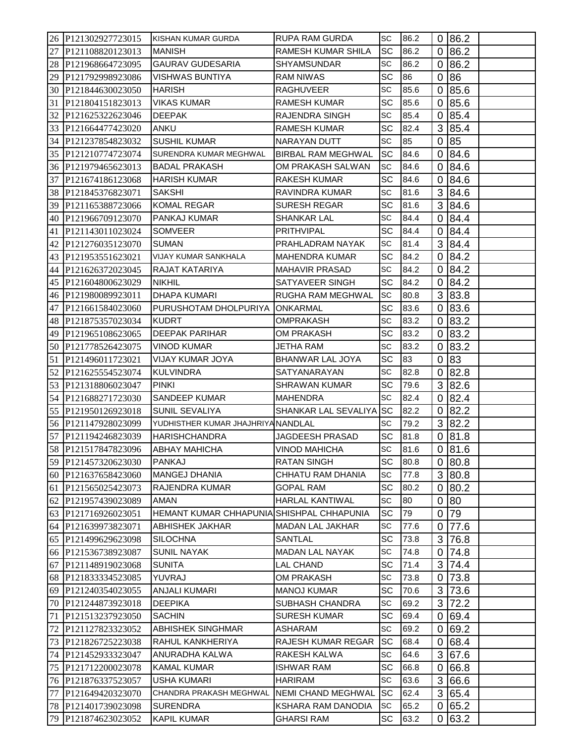|    | 26 P121302927723015                     | <b>KISHAN KUMAR GURDA</b>                 | <b>RUPA RAM GURDA</b>     | <b>SC</b> | 86.2 |   | 0 86.2   |
|----|-----------------------------------------|-------------------------------------------|---------------------------|-----------|------|---|----------|
|    | 27 P121108820123013                     | <b>MANISH</b>                             | RAMESH KUMAR SHILA        | <b>SC</b> | 86.2 |   | 0 86.2   |
|    | 28 P121968664723095                     | <b>GAURAV GUDESARIA</b>                   | <b>SHYAMSUNDAR</b>        | <b>SC</b> | 86.2 |   | 0 86.2   |
| 29 | P121792998923086                        | <b>VISHWAS BUNTIYA</b>                    | <b>RAM NIWAS</b>          | SC        | 86   | 0 | 86       |
| 30 | P121844630023050                        | <b>HARISH</b>                             | <b>RAGHUVEER</b>          | <b>SC</b> | 85.6 |   | 0 85.6   |
| 31 | P121804151823013                        | <b>VIKAS KUMAR</b>                        | <b>RAMESH KUMAR</b>       | SC        | 85.6 |   | 0 85.6   |
| 32 | P121625322623046                        | <b>DEEPAK</b>                             | RAJENDRA SINGH            | SC        | 85.4 | 0 | 85.4     |
|    | 33 P121664477423020                     | ANKU                                      | <b>RAMESH KUMAR</b>       | <b>SC</b> | 82.4 |   | 3 85.4   |
|    | 34 P121237854823032                     | <b>SUSHIL KUMAR</b>                       | NARAYAN DUTT              | <b>SC</b> | 85   |   | 0 85     |
|    | 35 P121210774723074                     | SURENDRA KUMAR MEGHWAL                    | BIRBAL RAM MEGHWAL        | <b>SC</b> | 84.6 |   | 0 84.6   |
|    | 36 P121979465623013                     | <b>BADAL PRAKASH</b>                      | OM PRAKASH SALWAN         | SC        | 84.6 | 0 | 84.6     |
|    | 37 P121674186123068                     | <b>HARISH KUMAR</b>                       | <b>RAKESH KUMAR</b>       | <b>SC</b> | 84.6 |   | 0 84.6   |
| 38 | P121845376823071                        | <b>SAKSHI</b>                             | RAVINDRA KUMAR            | <b>SC</b> | 81.6 |   | 3 84.6   |
| 39 | P121165388723066                        | <b>KOMAL REGAR</b>                        | <b>SURESH REGAR</b>       | SC        | 81.6 |   | 3 84.6   |
|    |                                         | PANKAJ KUMAR                              | <b>SHANKAR LAL</b>        | <b>SC</b> | 84.4 |   | 0 84.4   |
| 40 | P121966709123070<br>41 P121143011023024 | <b>SOMVEER</b>                            | PRITHVIPAL                | SC.       | 84.4 |   |          |
|    |                                         |                                           |                           | <b>SC</b> |      |   | 0 84.4   |
|    | 42 P121276035123070                     | <b>SUMAN</b>                              | PRAHLADRAM NAYAK          |           | 81.4 |   | 3 84.4   |
| 43 | P121953551623021                        | <b>VIJAY KUMAR SANKHALA</b>               | <b>MAHENDRA KUMAR</b>     | SC        | 84.2 | 0 | 84.2     |
| 44 | P121626372023045                        | <b>RAJAT KATARIYA</b>                     | <b>MAHAVIR PRASAD</b>     | <b>SC</b> | 84.2 |   | 0 84.2   |
|    | 45 P121604800623029                     | <b>NIKHIL</b>                             | SATYAVEER SINGH           | SC        | 84.2 | 0 | 84.2     |
|    | 46 P121980089923011                     | <b>DHAPA KUMARI</b>                       | RUGHA RAM MEGHWAL         | <b>SC</b> | 80.8 |   | 3 83.8   |
| 47 | P121661584023060                        | PURUSHOTAM DHOLPURIYA                     | <b>JONKARMAL</b>          | SC        | 83.6 |   | 0 83.6   |
|    | 48 P121875357023034                     | <b>KUDRT</b>                              | <b>OMPRAKASH</b>          | <b>SC</b> | 83.2 |   | 0 83.2   |
|    | 49 P121965108623065                     | <b>DEEPAK PARIHAR</b>                     | OM PRAKASH                | SC        | 83.2 |   | 0 83.2   |
| 50 | P121778526423075                        | <b>VINOD KUMAR</b>                        | JETHA RAM                 | SC        | 83.2 | 0 | 83.2     |
| 51 | P <sub>121496011723021</sub>            | <b>VIJAY KUMAR JOYA</b>                   | BHANWAR LAL JOYA          | <b>SC</b> | 83   |   | 0 83     |
| 52 | P121625554523074                        | <b>KULVINDRA</b>                          | SATYANARAYAN              | SC        | 82.8 | 0 | 82.8     |
|    | 53 P121318806023047                     | <b>PINKI</b>                              | <b>SHRAWAN KUMAR</b>      | SC        | 79.6 |   | 3 82.6   |
|    | 54 P121688271723030                     | <b>SANDEEP KUMAR</b>                      | <b>MAHENDRA</b>           | SC        | 82.4 |   | 0 82.4   |
|    | 55 P121950126923018                     | SUNIL SEVALIYA                            | SHANKAR LAL SEVALIYA SC   |           | 82.2 |   | 0 82.2   |
|    | 56 P121147928023099                     | YUDHISTHER KUMAR JHAJHRIYA NANDLAL        |                           | <b>SC</b> | 79.2 |   | 3 82.2   |
| 57 | P121194246823039                        | <b>HARISHCHANDRA</b>                      | JAGDEESH PRASAD           | SC        | 81.8 |   | 0 81.8   |
|    | 58 P121517847823096                     | <b>ABHAY MAHICHA</b>                      | <b>VINOD MAHICHA</b>      | <b>SC</b> | 81.6 |   | 081.6    |
|    | 59 P121457320623030                     | PANKAJ                                    | RATAN SINGH               | SC        | 80.8 |   | 0 80.8   |
|    | 60 P121637658423060                     | <b>MANGEJ DHANIA</b>                      | CHHATU RAM DHANIA         | SC        | 77.8 |   | 3 80.8   |
|    | 61 P121565025423073                     | <b>RAJENDRA KUMAR</b>                     | <b>GOPAL RAM</b>          | SC        | 80.2 |   | 0 80.2   |
|    | 62 P121957439023089                     | AMAN                                      | <b>HARLAL KANTIWAL</b>    | SC        | 80   |   | 0 80     |
|    | 63 P121716926023051                     | HEMANT KUMAR CHHAPUNIA SHISHPAL CHHAPUNIA |                           | SC        | 79   | 0 | 79       |
|    | 64 P121639973823071                     | <b>ABHISHEK JAKHAR</b>                    | MADAN LAL JAKHAR          | SC        | 77.6 | 0 | $77.6$   |
|    | 65 P121499629623098                     | <b>SILOCHNA</b>                           | SANTLAL                   | <b>SC</b> | 73.8 |   | 3 76.8   |
|    | 66 P121536738923087                     | <b>SUNIL NAYAK</b>                        | MADAN LAL NAYAK           | SC        | 74.8 |   | 0 74.8   |
|    | 67 P121148919023068                     | <b>SUNITA</b>                             | LAL CHAND                 | SC        | 71.4 |   | 3 74.4   |
|    | 68 P121833334523085                     | YUVRAJ                                    | <b>OM PRAKASH</b>         | SC        | 73.8 |   | $0$ 73.8 |
|    | 69 P121240354023055                     | <b>ANJALI KUMARI</b>                      | <b>MANOJ KUMAR</b>        | SC        | 70.6 |   | 3 73.6   |
|    | 70 P121244873923018                     | <b>DEEPIKA</b>                            | SUBHASH CHANDRA           | <b>SC</b> | 69.2 |   | 3 72.2   |
| 71 | P121513237923050                        | <b>SACHIN</b>                             | <b>SURESH KUMAR</b>       | SC        | 69.4 |   | 0 69.4   |
|    | 72 P121127823323052                     | <b>ABHISHEK SINGHMAR</b>                  | ASHARAM                   | SC        | 69.2 |   | 0 69.2   |
|    | 73 P121826725223038                     | RAHUL KANKHERIYA                          | RAJESH KUMAR REGAR        | <b>SC</b> | 68.4 |   | 0 68.4   |
|    | 74 P121452933323047                     | ANURADHA KALWA                            | RAKESH KALWA              | SC        | 64.6 |   | 3 67.6   |
|    | 75 P121712200023078                     | <b>KAMAL KUMAR</b>                        | ISHWAR RAM                | SC        | 66.8 |   | 0 66.8   |
|    | 76 P121876337523057                     | <b>USHA KUMARI</b>                        | <b>HARIRAM</b>            | <b>SC</b> | 63.6 |   | 3 66.6   |
|    | 77 P121649420323070                     | CHANDRA PRAKASH MEGHWAL                   | <b>NEMI CHAND MEGHWAL</b> | <b>SC</b> | 62.4 |   | 3 65.4   |
|    | 78 P121401739023098                     | <b>SURENDRA</b>                           | KSHARA RAM DANODIA        | <b>SC</b> | 65.2 |   | 0 65.2   |
|    | 79 P121874623023052                     | <b>KAPIL KUMAR</b>                        | <b>GHARSI RAM</b>         | SC        | 63.2 |   | 0 63.2   |
|    |                                         |                                           |                           |           |      |   |          |